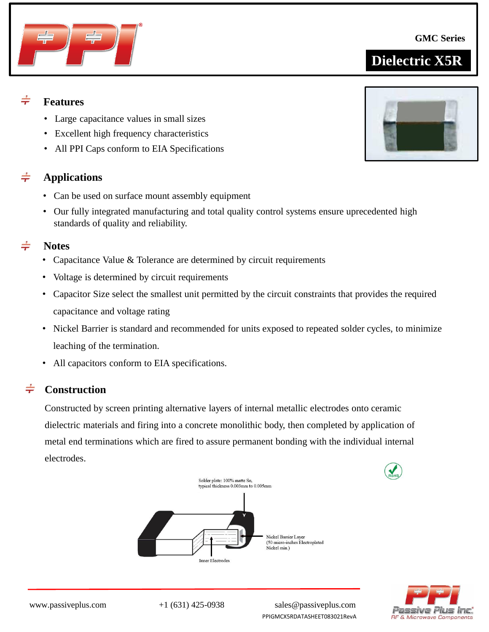

**Notes**

• Nickel Barrier is standard and recommended for units exposed to repeated solder cycles, to minimize leaching of the termination.

• Our fully integrated manufacturing and total quality control systems ensure uprecedented high

Capacitance Value & Tolerance are determined by circuit requirements

• All capacitors conform to EIA specifications.

• Voltage is determined by circuit requirements

• Large capacitance values in small sizes • Excellent high frequency characteristics

standards of quality and reliability.

• All PPI Caps conform to EIA Specifications

• Can be used on surface mount assembly equipment

#### $\div$ **Construction**

Constructed by screen printing alternative layers of internal metallic electrodes onto ceramic dielectric materials and firing into a concrete monolithic body, then completed by application of metal end terminations which are fired to assure permanent bonding with the individual internal electrodes.

> Solder plate: 100% matte Sn, typical thickness 0.003mm to 0.005mm



Inner Elect

PPIGMCX5RDATASHEET083021RevA

Nickel Barrier Layer (50 micro-inches Electroplated

Nickel min.)



assive Plus Inc. **RF & Microwave Components** 



**Dielectric X5R**



**Features**

 $\div$ 

 $\div$ 

 $\div$ 

**Applications**

**GMC Series**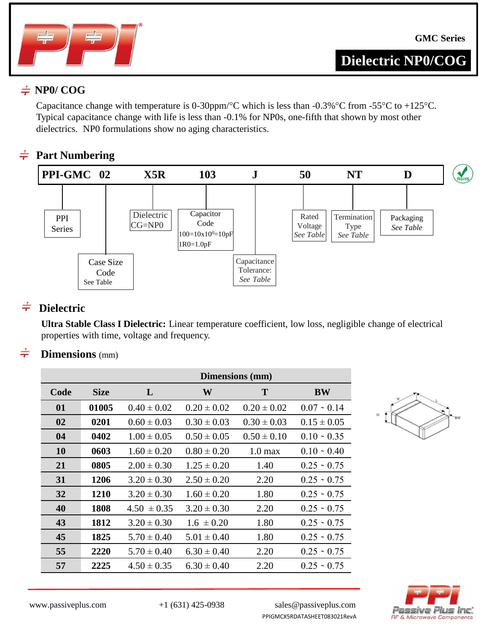

**Dielectric NP0/COG**

### $\neq$  NP0/ COG

Capacitance change with temperature is 0-30ppm/ $\rm ^{\circ}C$  which is less than -0.3%  $\rm ^{\circ}C$  from -55 $\rm ^{\circ}C$  to +125 $\rm ^{\circ}C$ . Typical capacitance change with life is less than -0.1% for NP0s, one-fifth that shown by most other dielectrics. NP0 formulations show no aging characteristics.

## **Part Numbering**



#### $\div$ **Dielectric**

**Ultra Stable Class I Dielectric:** Linear temperature coefficient, low loss, negligible change of electrical properties with time, voltage and frequency.

#### $\div$ **Dimensions** (mm)

|           |             | <b>Dimensions</b> (mm) |                 |                   |                   |  |  |  |  |  |  |
|-----------|-------------|------------------------|-----------------|-------------------|-------------------|--|--|--|--|--|--|
| Code      | <b>Size</b> | L                      | W               | T                 | <b>BW</b>         |  |  |  |  |  |  |
| 01        | 01005       | $0.40 \pm 0.02$        | $0.20 \pm 0.02$ | $0.20 \pm 0.02$   | $0.07 - 0.14$     |  |  |  |  |  |  |
| 02        | 0201        | $0.60 \pm 0.03$        | $0.30 \pm 0.03$ | $0.30 \pm 0.03$   | $0.15 \pm 0.05$   |  |  |  |  |  |  |
| 04        | 0402        | $1.00 \pm 0.05$        | $0.50 \pm 0.05$ | $0.50 \pm 0.10$   | $0.10 \div 0.35$  |  |  |  |  |  |  |
| <b>10</b> | 0603        | $1.60 \pm 0.20$        | $0.80 \pm 0.20$ | $1.0 \text{ max}$ | $0.10 \cdot 0.40$ |  |  |  |  |  |  |
| 21        | 0805        | $2.00 \pm 0.30$        | $1.25 \pm 0.20$ | 1.40              | $0.25 \cdot 0.75$ |  |  |  |  |  |  |
| 31        | 1206        | $3.20 \pm 0.30$        | $2.50 \pm 0.20$ | 2.20              | $0.25 \div 0.75$  |  |  |  |  |  |  |
| 32        | 1210        | $3.20 \pm 0.30$        | $1.60 \pm 0.20$ | 1.80              | $0.25 \div 0.75$  |  |  |  |  |  |  |
| 40        | 1808        | $4.50 \pm 0.35$        | $3.20 \pm 0.30$ | 2.20              | $0.25 \div 0.75$  |  |  |  |  |  |  |
| 43        | 1812        | $3.20 \pm 0.30$        | $1.6 \pm 0.20$  | 1.80              | $0.25 \div 0.75$  |  |  |  |  |  |  |
| 45        | 1825        | $5.70 \pm 0.40$        | $5.01 \pm 0.40$ | 1.80              | $0.25 \sim 0.75$  |  |  |  |  |  |  |
| 55        | 2220        | $5.70 \pm 0.40$        | $6.30 \pm 0.40$ | 2.20              | $0.25 \div 0.75$  |  |  |  |  |  |  |
| 57        | 2225        | $4.50 \pm 0.35$        | $6.30 \pm 0.40$ | 2.20              | $0.25 \sim 0.75$  |  |  |  |  |  |  |





PPIGMCX5RDATASHEET083021RevA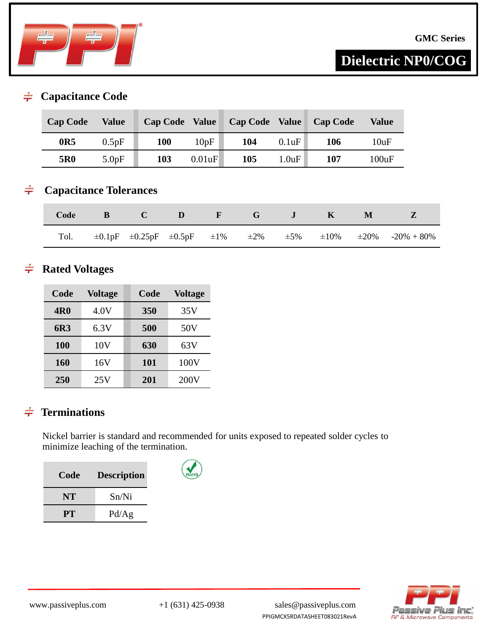

**GMC Series**

# **Dielectric NP0/COG**

#### **Capacitance Code**  $\div$

| <b>Cap Code</b> | Value | <b>Cap Code</b> | <b>Value</b> | Cap Code Value |       | <b>Cap Code</b> | <b>Value</b> |
|-----------------|-------|-----------------|--------------|----------------|-------|-----------------|--------------|
| 0R5             | 0.5pF | 100             | 10pF         | 104            | 0.1uF | 106             | 10uF         |
| 5R <sub>0</sub> | 5.0pF | 103             | 0.01uF       | 105            | 1.0uF | 107             | 100uF        |

#### **Capacitance Tolerances**  $\div$

| Code | B C D F G J K M |  |  |  |                                                                                                         |
|------|-----------------|--|--|--|---------------------------------------------------------------------------------------------------------|
|      |                 |  |  |  | Tol. $\pm 0.1pF$ $\pm 0.25pF$ $\pm 0.5pF$ $\pm 1\%$ $\pm 2\%$ $\pm 5\%$ $\pm 10\%$ $\pm 20\%$ -20% -80% |

### $\div$  Rated Voltages

| Code       | <b>Voltage</b> | Code | <b>Voltage</b> |
|------------|----------------|------|----------------|
| <b>4R0</b> | 4.0V           | 350  | 35V            |
| 6R3        | 6.3V           | 500  | 50V            |
| 100        | 10V            | 630  | 63V            |
| 160        | 16V            | 101  | 100V           |
| 250        | 25V            | 201  | 200V           |

### **Terminations**

Nickel barrier is standard and recommended for units exposed to repeated solder cycles to minimize leaching of the termination.

| Code | <b>Description</b> |
|------|--------------------|
| NT   | Sn/Ni              |
| PT.  | Pd/Ag              |

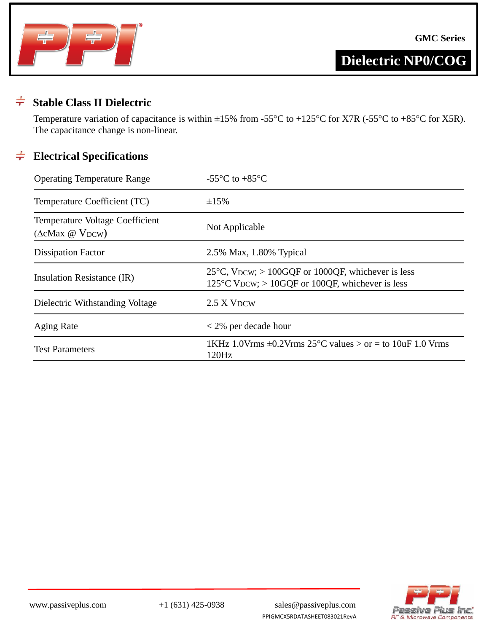

### **Stable Class II Dielectric**

Temperature variation of capacitance is within  $\pm 15\%$  from -55°C to +125°C for X7R (-55°C to +85°C for X5R). The capacitance change is non-linear.

## **Electrical Specifications**

| <b>Operating Temperature Range</b>                              | -55 $\mathrm{^{\circ}C}$ to +85 $\mathrm{^{\circ}C}$                                                                     |
|-----------------------------------------------------------------|--------------------------------------------------------------------------------------------------------------------------|
| Temperature Coefficient (TC)                                    | $\pm 15\%$                                                                                                               |
| Temperature Voltage Coefficient<br>$(\Delta c$ Max @ $V_{DCW})$ | Not Applicable                                                                                                           |
| <b>Dissipation Factor</b>                                       | 2.5% Max, 1.80% Typical                                                                                                  |
| Insulation Resistance (IR)                                      | $25^{\circ}$ C, VDCW; > 100GQF or 1000QF, whichever is less<br>$125^{\circ}$ C VDCW; > 10GQF or 100QF, whichever is less |
| Dielectric Withstanding Voltage                                 | $2.5$ X VDCW                                                                                                             |
| Aging Rate                                                      | $<$ 2% per decade hour                                                                                                   |
| <b>Test Parameters</b>                                          | 1KHz 1.0Vrms $\pm$ 0.2Vrms 25°C values > or = to 10uF 1.0 Vrms<br>120Hz                                                  |



PPIGMCX5RDATASHEET083021RevA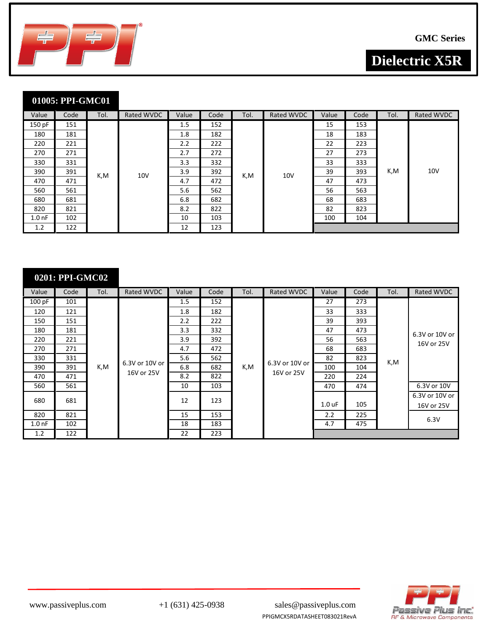

**GMC Series**



### **01005: PPI-GMC01**

| Value     | Code | Tol. | Rated WVDC      | Value | Code | Tol. | Rated WVDC | Value | Code | Tol. | Rated WVDC      |
|-----------|------|------|-----------------|-------|------|------|------------|-------|------|------|-----------------|
| 150 pF    | 151  |      |                 | 1.5   | 152  |      |            | 15    | 153  |      |                 |
| 180       | 181  |      |                 | 1.8   | 182  |      |            | 18    | 183  |      |                 |
| 220       | 221  |      |                 | 2.2   | 222  |      |            | 22    | 223  |      |                 |
| 270       | 271  |      |                 | 2.7   | 272  |      |            | 27    | 273  |      |                 |
| 330       | 331  |      |                 | 3.3   | 332  |      |            | 33    | 333  |      |                 |
| 390       | 391  | K,M  | 10 <sub>V</sub> | 3.9   | 392  | K,M  | 10V        | 39    | 393  | K,M  | 10 <sub>V</sub> |
| 470       | 471  |      |                 | 4.7   | 472  |      |            | 47    | 473  |      |                 |
| 560       | 561  |      |                 | 5.6   | 562  |      |            | 56    | 563  |      |                 |
| 680       | 681  |      |                 | 6.8   | 682  |      |            | 68    | 683  |      |                 |
| 820       | 821  |      |                 | 8.2   | 822  |      |            | 82    | 823  |      |                 |
| $1.00$ nF | 102  |      |                 | 10    | 103  |      |            | 100   | 104  |      |                 |
| 1.2       | 122  |      |                 | 12    | 123  |      |            |       |      |      |                 |

|           | 0201: PPI-GMC02 |      |                |       |      |      |                |          |      |      |                              |
|-----------|-----------------|------|----------------|-------|------|------|----------------|----------|------|------|------------------------------|
| Value     | Code            | Tol. | Rated WVDC     | Value | Code | Tol. | Rated WVDC     | Value    | Code | Tol. | Rated WVDC                   |
| 100 pF    | 101             |      |                | 1.5   | 152  |      |                | 27       | 273  |      |                              |
| 120       | 121             |      |                | 1.8   | 182  |      |                | 33       | 333  |      |                              |
| 150       | 151             |      |                | 2.2   | 222  |      |                | 39       | 393  |      |                              |
| 180       | 181             |      |                | 3.3   | 332  |      |                | 47       | 473  |      | 6.3V or 10V or               |
| 220       | 221             |      |                | 3.9   | 392  |      |                | 56       | 563  |      | 16V or 25V                   |
| 270       | 271             |      |                | 4.7   | 472  |      |                | 68       | 683  |      |                              |
| 330       | 331             |      | 6.3V or 10V or | 5.6   | 562  | K,M  | 6.3V or 10V or | 82       | 823  | K,M  |                              |
| 390       | 391             | K,M  | 16V or 25V     | 6.8   | 682  |      | 16V or 25V     | 100      | 104  |      |                              |
| 470       | 471             |      |                | 8.2   | 822  |      |                | 220      | 224  |      |                              |
| 560       | 561             |      |                | 10    | 103  |      |                | 470      | 474  |      | 6.3V or 10V                  |
| 680       | 681             |      |                | 12    | 123  |      |                | $1.0$ uF | 105  |      | 6.3V or 10V or<br>16V or 25V |
| 820       | 821             |      |                | 15    | 153  |      |                | 2.2      | 225  |      | 6.3V                         |
| $1.00$ nF | 102             |      |                | 18    | 183  |      |                | 4.7      | 475  |      |                              |
| 1.2       | 122             |      |                | 22    | 223  |      |                |          |      |      |                              |

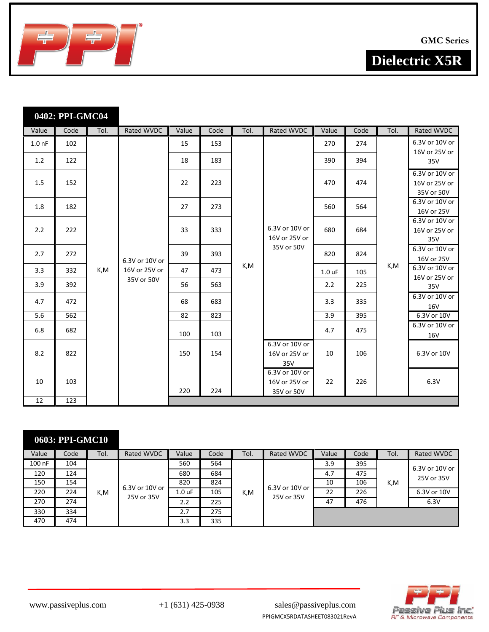**GMC Series**



**Dielectric X5R**

|                   | 0402: PPI-GMC04 |      |                |       |      |      |                                                                                         |          |      |      |                                               |
|-------------------|-----------------|------|----------------|-------|------|------|-----------------------------------------------------------------------------------------|----------|------|------|-----------------------------------------------|
| Value             | Code            | Tol. | Rated WVDC     | Value | Code | Tol. | <b>Rated WVDC</b>                                                                       | Value    | Code | Tol. | Rated WVDC                                    |
| 1.0 <sub>nP</sub> | 102             |      |                | 15    | 153  |      |                                                                                         | 270      | 274  |      | 6.3V or 10V or<br>16V or 25V or               |
| 1.2               | 122             |      |                | 18    | 183  |      |                                                                                         | 390      | 394  |      | 35V                                           |
| 1.5               | 152             |      |                | 22    | 223  |      |                                                                                         | 470      | 474  |      | 6.3V or 10V or<br>16V or 25V or<br>35V or 50V |
| 1.8               | 182             |      |                | 27    | 273  |      |                                                                                         | 560      | 564  |      | 6.3V or 10V or<br>16V or 25V                  |
| 2.2               | 222             |      |                | 33    | 333  |      | 6.3V or 10V or<br>16V or 25V or                                                         | 680      | 684  | K,M  | 6.3V or 10V or<br>16V or 25V or<br>35V        |
| 2.7               | 272             |      | 6.3V or 10V or | 39    | 393  | K,M  | 35V or 50V                                                                              | 820      | 824  |      | 6.3V or 10V or<br>16V or 25V                  |
| 3.3               | 332             | K,M  | 16V or 25V or  | 47    | 473  |      |                                                                                         | $1.0$ uF | 105  |      | 6.3V or 10V or                                |
| 3.9               | 392             |      | 35V or 50V     | 56    | 563  |      |                                                                                         | 2.2      | 225  |      | 16V or 25V or<br>35V                          |
| 4.7               | 472             |      |                | 68    | 683  |      |                                                                                         | 3.3      | 335  |      | 6.3V or 10V or<br><b>16V</b>                  |
| 5.6               | 562             |      |                | 82    | 823  |      |                                                                                         | 3.9      | 395  |      | 6.3V or 10V                                   |
| 6.8               | 682             |      |                | 100   | 103  |      | 6.3V or 10V or<br>16V or 25V or<br>35V<br>6.3V or 10V or<br>16V or 25V or<br>35V or 50V | 4.7      | 475  |      | 6.3V or 10V or<br><b>16V</b>                  |
| 8.2               | 822             |      |                | 150   | 154  |      |                                                                                         | 10       | 106  |      | 6.3V or 10V                                   |
| 10                | 103             |      |                | 220   | 224  |      |                                                                                         | 22       | 226  |      | 6.3V                                          |
| 12                | 123             |      |                |       |      |      |                                                                                         |          |      |      |                                               |

|        | 0603: PPI-GMC10 |      |                |                  |      |      |                              |       |      |      |                |
|--------|-----------------|------|----------------|------------------|------|------|------------------------------|-------|------|------|----------------|
| Value  | Code            | Tol. | Rated WVDC     | Value            | Code | Tol. | Rated WVDC                   | Value | Code | Tol. | Rated WVDC     |
| 100 nF | 104             |      |                | 560              | 564  |      |                              | 3.9   | 395  |      | 6.3V or 10V or |
| 120    | 124             |      |                | 680              | 684  |      |                              | 4.7   | 475  |      | 25V or 35V     |
| 150    | 154             |      | 6.3V or 10V or | 820              | 824  |      | 6.3V or 10V or<br>25V or 35V | 10    | 106  | K,M  |                |
| 220    | 224             | K,M  | 25V or 35V     | $1.0 \text{ uF}$ | 105  | K,M  |                              | 22    | 226  |      | 6.3V or 10V    |
| 270    | 274             |      |                | 2.2              | 225  |      |                              | 47    | 476  |      | 6.3V           |
| 330    | 334             |      |                | 2.7              | 275  |      |                              |       |      |      |                |
| 470    | 474             |      |                | 3.3              | 335  |      |                              |       |      |      |                |

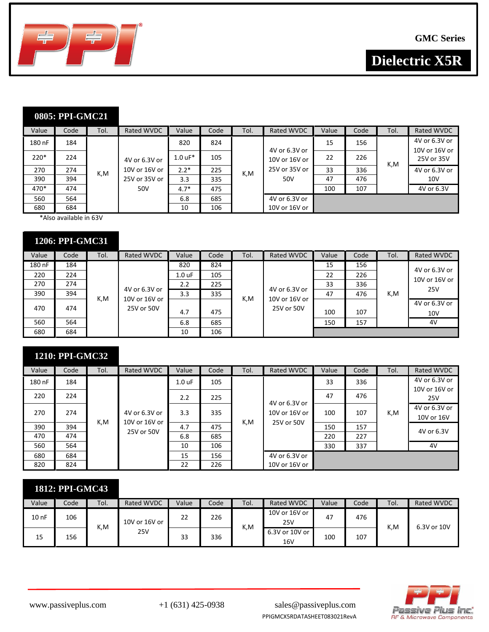

10V or 16V or

4V or 6.3V or

K,M



#### **0805: PPI-GMC21** Value | Code | Tol. | Rated WVDC | Value | Code | Tol. | Rated WVDC | Value | Code | Tol. | Rated WVDC 180 nF 184 K,M 4V or 6.3V or 10V or 16V or 25V or 35V or 50V 820 824 K,M 4V or 6.3V or 10V or 16V or 25V or 35V or 50V 15 156 220\* 224 | 4V or 6.3V or | 1.0 uF\* | 105 | | 10V or 16V or | 22 | 226 | | | | | | 25V or 35V 270 274 | <sub>K.M.</sub> | 10V or 16V or | 2.2\* | 225 | <sub>K.M.</sub> | 25V or 35V or | 33 | 336 | <sup>V</sup> | 4V or 6.3V or 390 394 | 25V or 35V or | 3.3 | 335 | 1 | 50V | 47 | 476 | | 10V 470\* 474 | 50V | 4.7\* | 475 | | | | | 100 | 107 | | | | 4V or 6.3V  $\begin{array}{|c|c|c|c|c|}\n\hline\n560 & 564 \\
\hline\n680 & 684\n\end{array}$   $\begin{array}{|c|c|c|c|}\n\hline\n6.8 & 685 \\
\hline\n10 & 106\n\end{array}$   $\begin{array}{|c|c|c|c|}\n\hline\n40 & 6.3\lor \text{or} \\
10 & 16\lor \text{or} \\
10 & 16\lor \text{or} \\
\end{array}$ 680 684 10 106 10V or 16V or

\*Also available in 63V

#### **1206: PPI-GMC31**

| Value  | Code | Tol. | Rated WVDC                  | Value             | Code | Tol. | Rated WVDC                                   | Value | Code | Tol. | Rated WVDC                       |
|--------|------|------|-----------------------------|-------------------|------|------|----------------------------------------------|-------|------|------|----------------------------------|
| 180 nF | 184  |      |                             | 820               | 824  |      | 4V or 6.3V or<br>10V or 16V or<br>25V or 50V | 15    | 156  |      | 4V or 6.3V or                    |
| 220    | 224  |      |                             | 1.0 <sub>uF</sub> | 105  |      |                                              | 22    | 226  |      | 10V or 16V or                    |
| 270    | 274  |      |                             | 2.2               | 225  |      |                                              | 33    | 336  |      | 25V                              |
| 390    | 394  | K,M  | 4V or 6.3V or               | 3.3               | 335  | K,M  |                                              | 47    | 476  | K,M  |                                  |
| 470    | 474  |      | 10V or 16V or<br>25V or 50V | 4.7               | 475  |      |                                              | 100   | 107  |      | 4V or 6.3V or<br>10 <sub>V</sub> |
| 560    | 564  |      |                             | 6.8               | 685  |      |                                              | 150   | 157  |      | 4V                               |
| 680    | 684  |      |                             | 10                | 106  |      |                                              |       |      |      |                                  |

#### 10V or 16V or 10V or 16V **1210: PPI-GMC32** Value | Code | Tol. | Rated WVDC | Value | Code | Tol. | Rated WVDC | Value | Code | Tol. | Rated WVDC 180 nF 184 K,M 4V or 6.3V or 10V or 16V or 25V or 50V 1.0 uF 105 K,M 4V or 6.3V or 270 274 4V or 6.3V or 3.3 335 100 10V or 16V or 100 107 25V or 50V 33 336 K,M 4V or 6.3V or 220 224 225 225 225 47 47 476 25V 4V or 6.3V or <sup>390</sup> <sup>394</sup> 4.7 <sup>475</sup> <sup>150</sup> <sup>157</sup> 4V or 6.3V <sup>470</sup> <sup>474</sup> 6.8 <sup>685</sup> <sup>220</sup> <sup>227</sup> 560 564 10 106 330 337 4V 680 684 15 156 4V or 6.3V or 820 824 22 226 10V or 16V or

#### **1812: PPI-GMC43** Value Code Tol. Rated WVDC Value Code Tol. Rated WVDC Value Code Tol. Rated WVDC 10 nF 106 K,M 10V or 16V or 25V 22 226 K,M 10V or 16V or 25V 47 476 K, M  $\Big|$  6.3V or 10V 15 156 | <sup>33</sup> | 33 | 336 6.3V or 10V or  $16V$  100 107

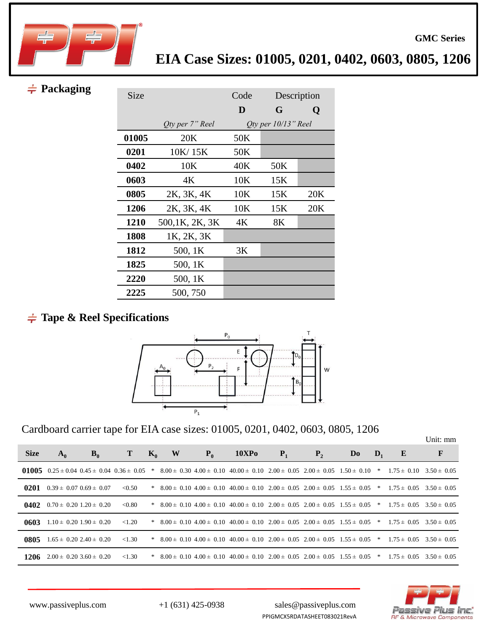

### $\neq$  Packaging

| Size  |                        | Code |                           | Description |
|-------|------------------------|------|---------------------------|-------------|
|       |                        | D    | G                         | Q           |
|       | <i>Oty per 7" Reel</i> |      | $Q$ ty per $10/13$ " Reel |             |
| 01005 | 20K                    | 50K  |                           |             |
| 0201  | 10K/15K                | 50K  |                           |             |
| 0402  | 10K                    | 40K  | 50K                       |             |
| 0603  | 4К                     | 10K  | 15K                       |             |
| 0805  | 2K, 3K, 4K             | 10K  | 15K                       | 20K         |
| 1206  | 2K, 3K, 4K             | 10K  | 15K                       | 20K         |
| 1210  | 500,1K, 2K, 3K         | 4K   | 8K                        |             |
| 1808  | 1K, 2K, 3K             |      |                           |             |
| 1812  | 500, 1K                | 3K   |                           |             |
| 1825  | 500, 1K                |      |                           |             |
| 2220  | 500, 1K                |      |                           |             |
| 2225  | 500, 750               |      |                           |             |

### **Tape & Reel Specifications**



Cardboard carrier tape for EIA case sizes: 01005, 0201, 0402, 0603, 0805, 1206

| <b>Size</b> | $A_{\alpha}$                    |            | $\mathbf{T} \mathbf{K}_0 \mathbf{W}$ | $P_{\alpha}$ | 10XPo                                                                                                                                          | $P_1$ $P_2$ | $\mathbf{D_0}$ $\mathbf{D_1}$ | $\mathbf{E}$ |  |
|-------------|---------------------------------|------------|--------------------------------------|--------------|------------------------------------------------------------------------------------------------------------------------------------------------|-------------|-------------------------------|--------------|--|
|             |                                 |            |                                      |              | 01005 0.25 ± 0.04 0.45 ± 0.04 0.36 ± 0.05 * 8.00 ± 0.30 4.00 ± 0.10 40.00 ± 0.10 2.00 ± 0.05 2.00 ± 0.05 1.50 ± 0.10 * 1.75 ± 0.10 3.50 ± 0.05 |             |                               |              |  |
| 0201        | $0.39 \pm 0.07$ $0.69 \pm 0.07$ | $\le 0.50$ |                                      |              | * $8.00 \pm 0.10$ 4.00 $\pm$ 0.10 40.00 $\pm$ 0.10 2.00 $\pm$ 0.05 2.00 $\pm$ 0.05 1.55 $\pm$ 0.05 $\pm$ 1.75 $\pm$ 0.05 3.50 $\pm$ 0.05       |             |                               |              |  |

PPIGMCX5RDATASHEET083021RevA

| 0201 | $0.39 \pm 0.07$ $0.69 \pm 0.07$             | ${<}0.50$ |  |  | * $8.00 \pm 0.10$ $4.00 \pm 0.10$ $40.00 \pm 0.10$ $2.00 \pm 0.05$ $2.00 \pm 0.05$ $1.55 \pm 0.05$ * $1.75 \pm 0.05$ $3.50 \pm 0.05$ |  |  |  |
|------|---------------------------------------------|-----------|--|--|--------------------------------------------------------------------------------------------------------------------------------------|--|--|--|
|      | <b>0402</b> $0.70 \pm 0.20$ 1.20 $\pm 0.20$ | < 0.80    |  |  | * $8.00 \pm 0.10$ $4.00 \pm 0.10$ $40.00 \pm 0.10$ $2.00 \pm 0.05$ $2.00 \pm 0.05$ $1.55 \pm 0.05$ * $1.75 \pm 0.05$ $3.50 \pm 0.05$ |  |  |  |
|      | $0603$ 1.10 ± 0.20 1.90 ± 0.20              | < 1.20    |  |  | * $8.00 \pm 0.10$ $4.00 \pm 0.10$ $40.00 \pm 0.10$ $2.00 \pm 0.05$ $2.00 \pm 0.05$ $1.55 \pm 0.05$ * $1.75 \pm 0.05$ $3.50 \pm 0.05$ |  |  |  |
|      | <b>0805</b> $1.65 \pm 0.202.40 \pm 0.20$    | ${<}1.30$ |  |  | * $8.00 \pm 0.10$ $4.00 \pm 0.10$ $40.00 \pm 0.10$ $2.00 \pm 0.05$ $2.00 \pm 0.05$ $1.55 \pm 0.05$ * $1.75 \pm 0.05$ $3.50 \pm 0.05$ |  |  |  |
|      | 1206 $2.00 \pm 0.203.60 \pm 0.20$           | ${<}1.30$ |  |  | * $8.00 \pm 0.10$ $4.00 \pm 0.10$ $40.00 \pm 0.10$ $2.00 \pm 0.05$ $2.00 \pm 0.05$ $1.55 \pm 0.05$ * $1.75 \pm 0.05$ $3.50 \pm 0.05$ |  |  |  |



Unit: mm

**GMC Series**

www.passiveplus.com +1 (631) 425-0938 sales@passiveplus.com